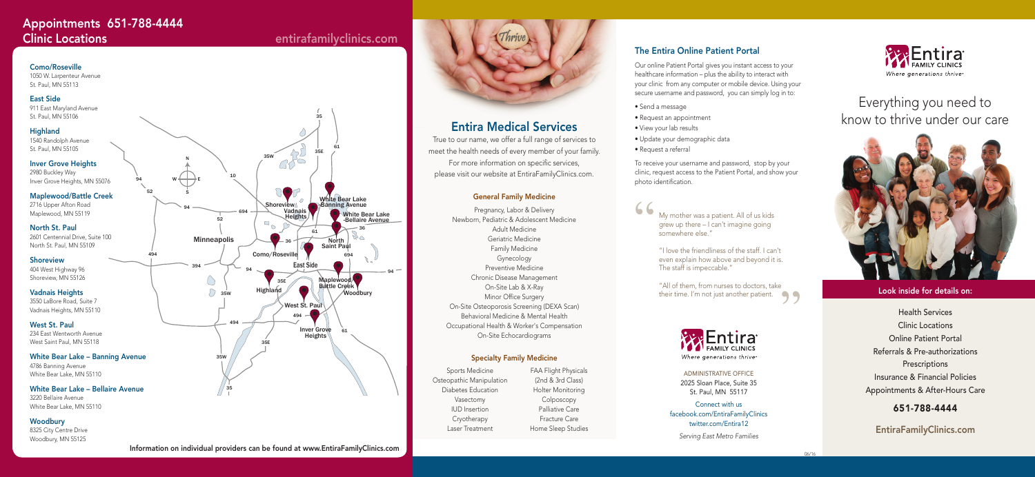# Entira Medical Services

True to our name, we offer a full range of services to meet the health needs of every member of your family. For more information on specific services, please visit our website at EntiraFamilyClinics.com.

## General Family Medicine

Pregnancy, Labor & Delivery Newborn, Pediatric & Adolescent Medicine Adult Medicine Geriatric Medicine Family Medicine Gynecology Preventive Medicine Chronic Disease Management On-Site Lab & X-Ray Minor Office Surgery On-Site Osteoporosis Screening (DEXA Scan) Behavioral Medicine & Mental Health Occupational Health & Worker's Compensation On-Site Echocardiograms

## Specialty Family Medicine

"All of them, from nurses to doctors, take their time. I'm not just another patient.<br>
Soul Entire



Sports Medicine Osteopathic Manipulation Diabetes Education Vasectomy IUD Insertion Cryotherapy Laser Treatment

FAA Flight Physicals (2nd & 3rd Class) Holter Monitoring Colposcopy Palliative Care Fracture Care

# Everything you need to know to thrive under our care



## Look inside for details on:

Health Services Clinic Locations Online Patient Portal Referrals & Pre-authorizations **Prescriptions** Insurance & Financial Policies Appointments & After-Hours Care

# 651-788-4444

Home Sleep Studies **EntiraFamilyClinics.com** 

My mother was a patient. All of us kids grew up there – I can't imagine going somewhere else."

"I love the friendliness of the staff. I can't even explain how above and beyond it is. The staff is impeccable."

> ADMINISTRATIVE OFFICE 2025 Sloan Place, Suite 35 St. Paul, MN 55117

Connect with us facebook.com/EntiraFamilyClinics twitter.com/Entira12

*Serving East Metro Families* 



# The Entira Online Patient Portal

Our online Patient Portal gives you instant access to your healthcare information – plus the ability to interact with your clinic from any computer or mobile device. Using your secure username and password, you can simply log in to:

- Send a message
- Request an appointment
- View your lab results
- 
- 
- Update your demographic data
- Request a referral

To receive your username and password, stop by your clinic, request access to the Patient Portal, and show your photo identification.



"



1050 W. Larpenteur Avenue St. Paul, MN 55113

## East Side

911 East Maryland Avenue St. Paul, MN 55106

## **Highland**

1540 Randolph Avenue St. Paul, MN 55105

## **Inver Grove Heights**

2980 Buckley Way Inver Grove Heights, MN 55076

## Maplewood/Battle Creek

2716 Upper Afton Road Maplewood, MN 55119

## North St. Paul

2601 Centennial Drive, Suite 100 North St. Paul, MN 55109

## Shoreview

404 West Highway 96 Shoreview, MN 55126

## Vadnais Heights

3550 LaBore Road, Suite 7 Vadnais Heights, MN 55110

## West St. Paul

234 East Wentworth Avenue West Saint Paul, MN 55118

## White Bear Lake – Banning Avenue

4786 Banning Avenue White Bear Lake, MN 55110

## White Bear Lake – Bellaire Avenue

3220 Bellaire Avenue White Bear Lake, MN 55110

## **Woodbury**

8325 City Centre Drive Woodbury, MN 55125

# Appointments 651-788-4444 Clinic Locations entirafamilyclinics.com